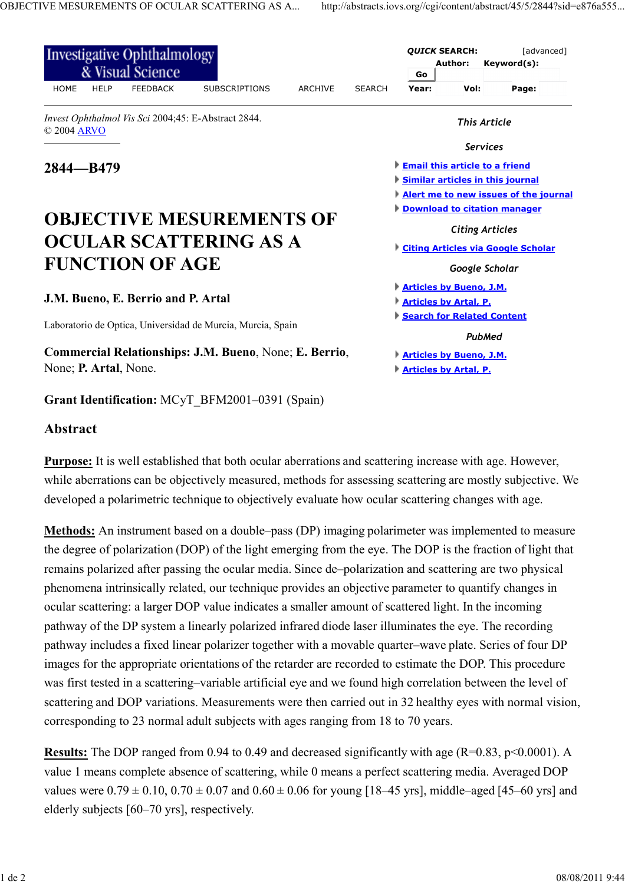| Investigative Ophthalmology<br>& Visual Science                    |                      |  |                |               |                                       | <b>QUICK SEARCH:</b><br>Author: |                 | [advanced]<br>Keyword(s):             |
|--------------------------------------------------------------------|----------------------|--|----------------|---------------|---------------------------------------|---------------------------------|-----------------|---------------------------------------|
| <b>HOME</b><br><b>HELP</b><br><b>FEEDBACK</b>                      | <b>SUBSCRIPTIONS</b> |  | <b>ARCHIVE</b> | <b>SEARCH</b> | Go<br>Year:                           | Vol:                            |                 | Page:                                 |
| Invest Ophthalmol Vis Sci 2004;45: E-Abstract 2844.<br>© 2004 ARVO |                      |  |                |               | <b>This Article</b>                   |                                 |                 |                                       |
|                                                                    |                      |  |                |               |                                       |                                 | <b>Services</b> |                                       |
| $2844 - B479$                                                      |                      |  |                |               | <b>Email this article to a friend</b> |                                 |                 |                                       |
|                                                                    |                      |  |                |               | Similar articles in this journal      |                                 |                 |                                       |
|                                                                    |                      |  |                |               |                                       |                                 |                 | Alert me to new issues of the journal |
|                                                                    |                      |  |                |               | <b>Download to citation manager</b>   |                                 |                 |                                       |
|                                                                    |                      |  |                |               |                                       |                                 |                 |                                       |
| <b>OBJECTIVE MESUREMENTS OF</b>                                    |                      |  |                |               |                                       |                                 |                 |                                       |
| OCULAR SCATTERING AS A                                             |                      |  |                |               |                                       | <b>Citing Articles</b>          |                 |                                       |
|                                                                    |                      |  |                |               |                                       |                                 |                 | Citing Articles via Google Scholar    |
| <b>FUNCTION OF AGE</b>                                             |                      |  |                |               |                                       | Google Scholar                  |                 |                                       |
|                                                                    |                      |  |                |               | <b>Articles by Bueno, J.M.</b>        |                                 |                 |                                       |
| J.M. Bueno, E. Berrio and P. Artal                                 |                      |  |                |               | <b>Articles by Artal, P.</b>          |                                 |                 |                                       |
|                                                                    |                      |  |                |               | Search for Related Content            |                                 |                 |                                       |
| Laboratorio de Optica, Universidad de Murcia, Murcia, Spain        |                      |  |                |               |                                       |                                 | <b>PubMed</b>   |                                       |
| Commercial Relationships: J.M. Bueno, None; E. Berrio,             |                      |  |                |               | <b>Articles by Bueno, J.M.</b>        |                                 |                 |                                       |

## **Abstract**

**Purpose:** It is well established that both ocular aberrations and scattering increase with age. However, while aberrations can be objectively measured, methods for assessing scattering are mostly subjective. We developed a polarimetric technique to objectively evaluate how ocular scattering changes with age.

**Methods:** An instrument based on a double–pass (DP) imaging polarimeter was implemented to measure the degree of polarization (DOP) of the light emerging from the eye. The DOP is the fraction of light that remains polarized after passing the ocular media. Since de–polarization and scattering are two physical phenomena intrinsically related, our technique provides an objective parameter to quantify changes in ocular scattering: a larger DOP value indicates a smaller amount of scattered light. In the incoming pathway of the DP system a linearly polarized infrared diode laser illuminates the eye. The recording pathway includes a fixed linear polarizer together with a movable quarter–wave plate. Series of four DP images for the appropriate orientations of the retarder are recorded to estimate the DOP. This procedure was first tested in a scattering–variable artificial eye and we found high correlation between the level of scattering and DOP variations. Measurements were then carried out in 32 healthy eyes with normal vision, corresponding to 23 normal adult subjects with ages ranging from 18 to 70 years.

**Results:** The DOP ranged from 0.94 to 0.49 and decreased significantly with age (R=0.83, p<0.0001). A value 1 means complete absence of scattering, while 0 means a perfect scattering media. Averaged DOP values were  $0.79 \pm 0.10$ ,  $0.70 \pm 0.07$  and  $0.60 \pm 0.06$  for young [18–45 yrs], middle–aged [45–60 yrs] and elderly subjects [60–70 yrs], respectively.